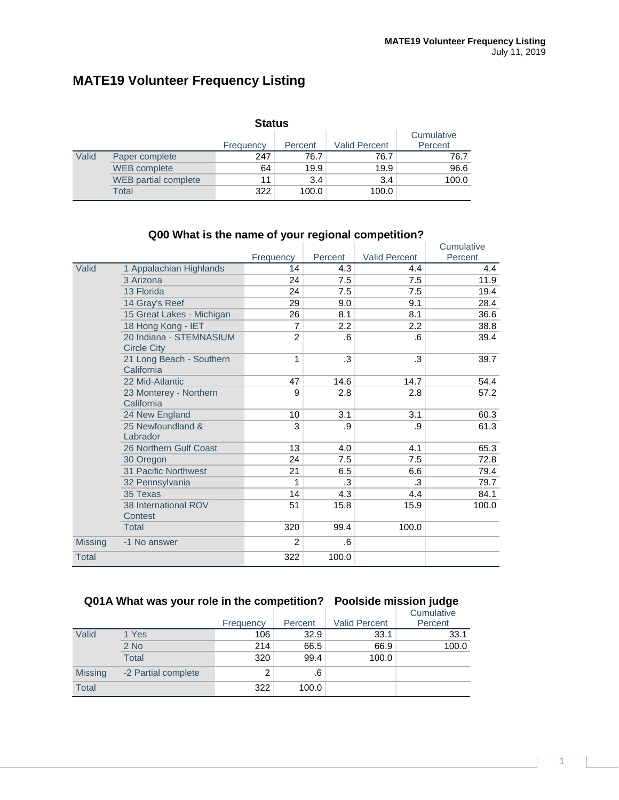# **MATE19 Volunteer Frequency Listing**

|       |                             | <b>Status</b> |         |                      |                       |
|-------|-----------------------------|---------------|---------|----------------------|-----------------------|
|       |                             | Frequency     | Percent | <b>Valid Percent</b> | Cumulative<br>Percent |
| Valid | Paper complete              | 247           | 76.7    | 76.7                 | 76.7                  |
|       | <b>WEB</b> complete         | 64            | 19.9    | 19.9                 | 96.6                  |
|       | <b>WEB</b> partial complete | 11            | 3.4     | 3.4                  | 100.0                 |
|       | Total                       | 322           | 100.0   | 100.0                |                       |

|                |                                               |                |         |                      | Cumulative |
|----------------|-----------------------------------------------|----------------|---------|----------------------|------------|
|                |                                               | Frequency      | Percent | <b>Valid Percent</b> | Percent    |
| Valid          | 1 Appalachian Highlands                       | 14             | 4.3     | 4.4                  | 4.4        |
|                | 3 Arizona                                     | 24             | 7.5     | 7.5                  | 11.9       |
|                | 13 Florida                                    | 24             | 7.5     | 7.5                  | 19.4       |
|                | 14 Gray's Reef                                | 29             | 9.0     | 9.1                  | 28.4       |
|                | 15 Great Lakes - Michigan                     | 26             | 8.1     | 8.1                  | 36.6       |
|                | 18 Hong Kong - IET                            | 7              | 2.2     | 2.2                  | 38.8       |
|                | 20 Indiana - STEMNASIUM<br><b>Circle City</b> | $\overline{2}$ | .6      | .6                   | 39.4       |
|                | 21 Long Beach - Southern<br>California        | 1              | .3      | .3                   | 39.7       |
|                | 22 Mid-Atlantic                               | 47             | 14.6    | 14.7                 | 54.4       |
|                | 23 Monterey - Northern<br>California          | 9              | 2.8     | 2.8                  | 57.2       |
|                | 24 New England                                | 10             | 3.1     | 3.1                  | 60.3       |
|                | 25 Newfoundland &<br>Labrador                 | 3              | .9      | .9                   | 61.3       |
|                | 26 Northern Gulf Coast                        | 13             | 4.0     | 4.1                  | 65.3       |
|                | 30 Oregon                                     | 24             | 7.5     | 7.5                  | 72.8       |
|                | 31 Pacific Northwest                          | 21             | 6.5     | 6.6                  | 79.4       |
|                | 32 Pennsylvania                               | 1              | .3      | .3                   | 79.7       |
|                | 35 Texas                                      | 14             | 4.3     | 4.4                  | 84.1       |
|                | 38 International ROV<br>Contest               | 51             | 15.8    | 15.9                 | 100.0      |
|                | Total                                         | 320            | 99.4    | 100.0                |            |
| <b>Missing</b> | -1 No answer                                  | $\overline{2}$ | .6      |                      |            |
| <b>Total</b>   |                                               | 322            | 100.0   |                      |            |

#### **Q00 What is the name of your regional competition?**

## **Q01A What was your role in the competition? Poolside mission judge**

|                |                     |           |         |                      | Cumulative |
|----------------|---------------------|-----------|---------|----------------------|------------|
|                |                     | Frequency | Percent | <b>Valid Percent</b> | Percent    |
| Valid          | 1 Yes               | 106       | 32.9    | 33.1                 | 33.1       |
|                | $2$ No              | 214       | 66.5    | 66.9                 | 100.0      |
|                | <b>Total</b>        | 320       | 99.4    | 100.0                |            |
| <b>Missing</b> | -2 Partial complete | 2         | .6      |                      |            |
| <b>Total</b>   |                     | 322       | 100.0   |                      |            |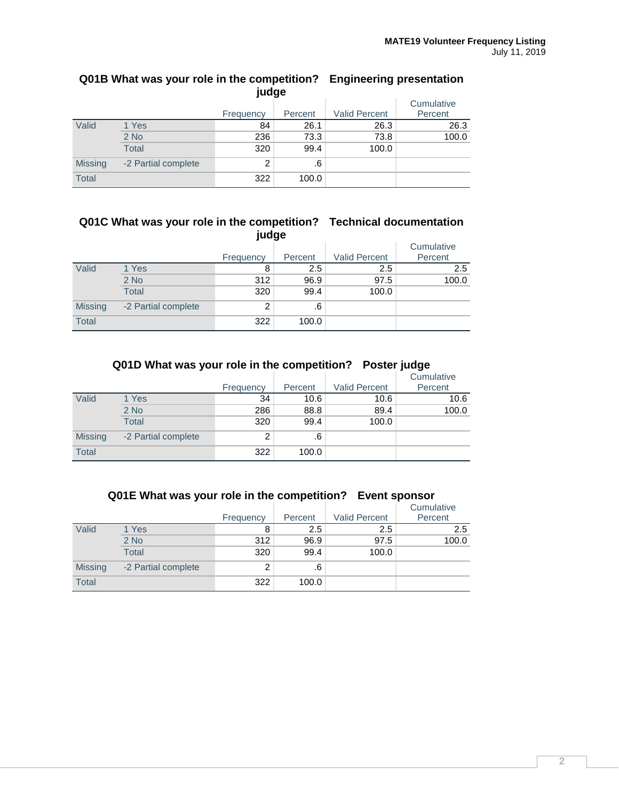|                | -<br>້<br>- -<br>judge |                |         |                      |                       |  |  |
|----------------|------------------------|----------------|---------|----------------------|-----------------------|--|--|
|                |                        | Frequency      | Percent | <b>Valid Percent</b> | Cumulative<br>Percent |  |  |
| Valid          | 1 Yes                  | 84             | 26.1    | 26.3                 | 26.3                  |  |  |
|                | $2$ No                 | 236            | 73.3    | 73.8                 | 100.0                 |  |  |
|                | <b>Total</b>           | 320            | 99.4    | 100.0                |                       |  |  |
| <b>Missing</b> | -2 Partial complete    | $\overline{2}$ | .6      |                      |                       |  |  |
| <b>Total</b>   |                        | 322            | 100.0   |                      |                       |  |  |

# **Q01B What was your role in the competition? Engineering presentation**

#### **Q01C What was your role in the competition? Technical documentation judge**

|                |                     | ,              |         |                      |            |
|----------------|---------------------|----------------|---------|----------------------|------------|
|                |                     |                |         |                      | Cumulative |
|                |                     | Frequency      | Percent | <b>Valid Percent</b> | Percent    |
| Valid          | 1 Yes               | 8              | 2.5     | 2.5                  | 2.5        |
|                | 2 No                | 312            | 96.9    | 97.5                 | 100.0      |
|                | Total               | 320            | 99.4    | 100.0                |            |
| <b>Missing</b> | -2 Partial complete | $\overline{2}$ | .6      |                      |            |
| <b>Total</b>   |                     | 322            | 100.0   |                      |            |

|                | Q01D What was your role in the competition? Poster judge |           |         |                      |            |  |  |
|----------------|----------------------------------------------------------|-----------|---------|----------------------|------------|--|--|
|                |                                                          |           |         |                      | Cumulative |  |  |
|                |                                                          | Frequency | Percent | <b>Valid Percent</b> | Percent    |  |  |
| Valid          | 1 Yes                                                    | 34        | 10.6    | 10.6                 | 10.6       |  |  |
|                | $2$ No                                                   | 286       | 88.8    | 89.4                 | 100.0      |  |  |
|                | <b>Total</b>                                             | 320       | 99.4    | 100.0                |            |  |  |
| <b>Missing</b> | -2 Partial complete                                      | 2         | .6      |                      |            |  |  |
| <b>Total</b>   |                                                          | 322       | 100.0   |                      |            |  |  |

|                | Q01E What was your role in the competition? Event sponsor |           |         |                      |            |  |  |  |
|----------------|-----------------------------------------------------------|-----------|---------|----------------------|------------|--|--|--|
|                |                                                           |           |         |                      | Cumulative |  |  |  |
|                |                                                           | Frequency | Percent | <b>Valid Percent</b> | Percent    |  |  |  |
| Valid          | 1 Yes                                                     | 8         | 2.5     | $2.5\,$              | 2.5        |  |  |  |
|                | $2$ No                                                    | 312       | 96.9    | 97.5                 | 100.0      |  |  |  |
|                | <b>Total</b>                                              | 320       | 99.4    | 100.0                |            |  |  |  |
| <b>Missing</b> | -2 Partial complete                                       | 2         | .6      |                      |            |  |  |  |
| Total          |                                                           | 322       | 100.0   |                      |            |  |  |  |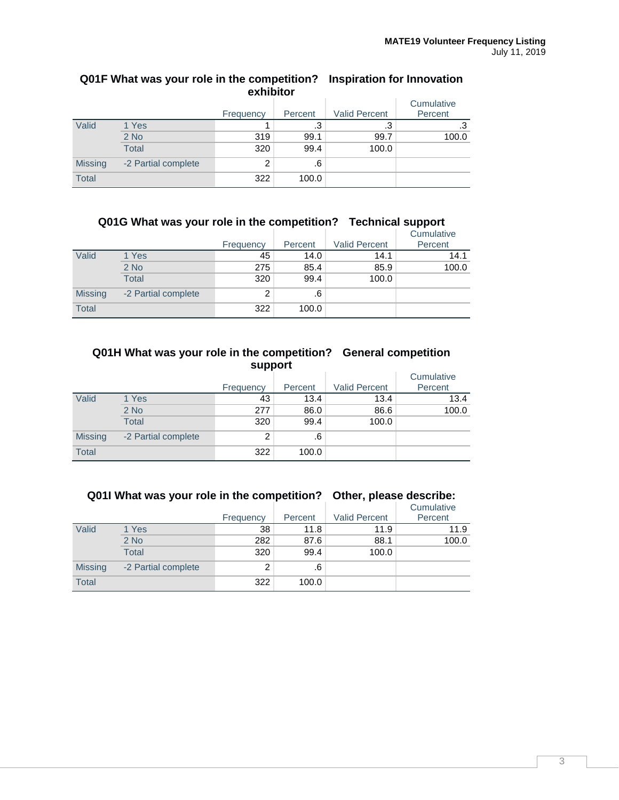| exhibitor      |                     |           |           |                      |                       |  |  |  |
|----------------|---------------------|-----------|-----------|----------------------|-----------------------|--|--|--|
|                |                     | Frequency | Percent   | <b>Valid Percent</b> | Cumulative<br>Percent |  |  |  |
| Valid          | 1 Yes               |           | $\cdot$ 3 | .3                   | .3                    |  |  |  |
|                | $2$ No              | 319       | 99.1      | 99.7                 | 100.0                 |  |  |  |
|                | <b>Total</b>        | 320       | 99.4      | 100.0                |                       |  |  |  |
| <b>Missing</b> | -2 Partial complete | 2         | .6        |                      |                       |  |  |  |
| <b>Total</b>   |                     | 322       | 100.0     |                      |                       |  |  |  |

# **Q01F What was your role in the competition? Inspiration for Innovation**

# **Q01G What was your role in the competition? Technical support**

|                |                     |           |         |                      | Cumulative |
|----------------|---------------------|-----------|---------|----------------------|------------|
|                |                     | Frequency | Percent | <b>Valid Percent</b> | Percent    |
| Valid          | 1 Yes               | 45        | 14.0    | 14.1                 | 14.1       |
|                | $2$ No              | 275       | 85.4    | 85.9                 | 100.0      |
|                | <b>Total</b>        | 320       | 99.4    | 100.0                |            |
| <b>Missing</b> | -2 Partial complete | 2         | .6      |                      |            |
| <b>Total</b>   |                     | 322       | 100.0   |                      |            |

#### **Q01H What was your role in the competition? General competition support**

|                |                     | Frequency | Percent | <b>Valid Percent</b> | Cumulative<br>Percent |
|----------------|---------------------|-----------|---------|----------------------|-----------------------|
| Valid          | 1 Yes               | 43        | 13.4    | 13.4                 | 13.4                  |
|                | $2$ No              | 277       | 86.0    | 86.6                 | 100.0                 |
|                | <b>Total</b>        | 320       | 99.4    | 100.0                |                       |
| <b>Missing</b> | -2 Partial complete | 2         | .6      |                      |                       |
| Total          |                     | 322       | 100.0   |                      |                       |

| QUIT WITCH WAS YOUT TUIT ITTITE COMPTANION : ONITH, DITTITE UTSCHING. |                |                     |           |         |                      |            |
|-----------------------------------------------------------------------|----------------|---------------------|-----------|---------|----------------------|------------|
|                                                                       |                |                     |           |         |                      | Cumulative |
|                                                                       |                |                     | Frequency | Percent | <b>Valid Percent</b> | Percent    |
|                                                                       | Valid          | 1 Yes               | 38        | 11.8    | 11.9                 | 11.9       |
|                                                                       |                | $2$ No              | 282       | 87.6    | 88.1                 | 100.0      |
|                                                                       |                | Total               | 320       | 99.4    | 100.0                |            |
|                                                                       | <b>Missing</b> | -2 Partial complete | 2         | .6      |                      |            |
|                                                                       | <b>Total</b>   |                     | 322       | 100.0   |                      |            |

**Q01I What was your role in the competition? Other, please describe:**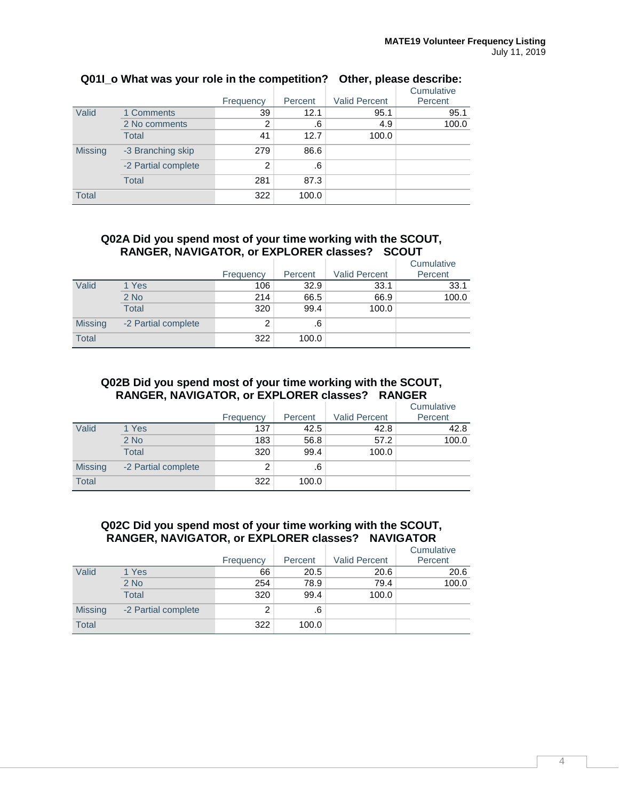|                |                     |           |         |                      | Cumulative |
|----------------|---------------------|-----------|---------|----------------------|------------|
|                |                     | Frequency | Percent | <b>Valid Percent</b> | Percent    |
| Valid          | 1 Comments          | 39        | 12.1    | 95.1                 | 95.1       |
|                | 2 No comments       | 2         | .6      | 4.9                  | 100.0      |
|                | <b>Total</b>        | 41        | 12.7    | 100.0                |            |
| <b>Missing</b> | -3 Branching skip   | 279       | 86.6    |                      |            |
|                | -2 Partial complete | 2         | .6      |                      |            |
|                | Total               | 281       | 87.3    |                      |            |
| <b>Total</b>   |                     | 322       | 100.0   |                      |            |

## **Q01I\_o What was your role in the competition? Other, please describe:**

#### **Q02A Did you spend most of your time working with the SCOUT, RANGER, NAVIGATOR, or EXPLORER classes? SCOUT**

|                |                     |           |         |                      | Cumulative |
|----------------|---------------------|-----------|---------|----------------------|------------|
|                |                     | Frequency | Percent | <b>Valid Percent</b> | Percent    |
| Valid          | 1 Yes               | 106       | 32.9    | 33.1                 | 33.1       |
|                | $2$ No              | 214       | 66.5    | 66.9                 | 100.0      |
|                | <b>Total</b>        | 320       | 99.4    | 100.0                |            |
| <b>Missing</b> | -2 Partial complete | 2         | .6      |                      |            |
| <b>Total</b>   |                     | 322       | 100.0   |                      |            |

#### **Q02B Did you spend most of your time working with the SCOUT, RANGER, NAVIGATOR, or EXPLORER classes? RANGER**

|                |                     |           |         |                      | Cumulative |
|----------------|---------------------|-----------|---------|----------------------|------------|
|                |                     | Frequency | Percent | <b>Valid Percent</b> | Percent    |
| Valid          | 1 Yes               | 137       | 42.5    | 42.8                 | 42.8       |
|                | $2$ No              | 183       | 56.8    | 57.2                 | 100.0      |
|                | <b>Total</b>        | 320       | 99.4    | 100.0                |            |
| <b>Missing</b> | -2 Partial complete | 2         | .6      |                      |            |
| <b>Total</b>   |                     | 322       | 100.0   |                      |            |

#### **Q02C Did you spend most of your time working with the SCOUT, RANGER, NAVIGATOR, or EXPLORER classes? NAVIGATOR**

|                |                     | Frequency | Percent | <b>Valid Percent</b> | Cumulative<br>Percent |
|----------------|---------------------|-----------|---------|----------------------|-----------------------|
| Valid          | 1 Yes               | 66        | 20.5    | 20.6                 | 20.6                  |
|                | $2$ No              | 254       | 78.9    | 79.4                 | 100.0                 |
|                | Total               | 320       | 99.4    | 100.0                |                       |
| <b>Missing</b> | -2 Partial complete | 2         | .6      |                      |                       |
| <b>Total</b>   |                     | 322       | 100.0   |                      |                       |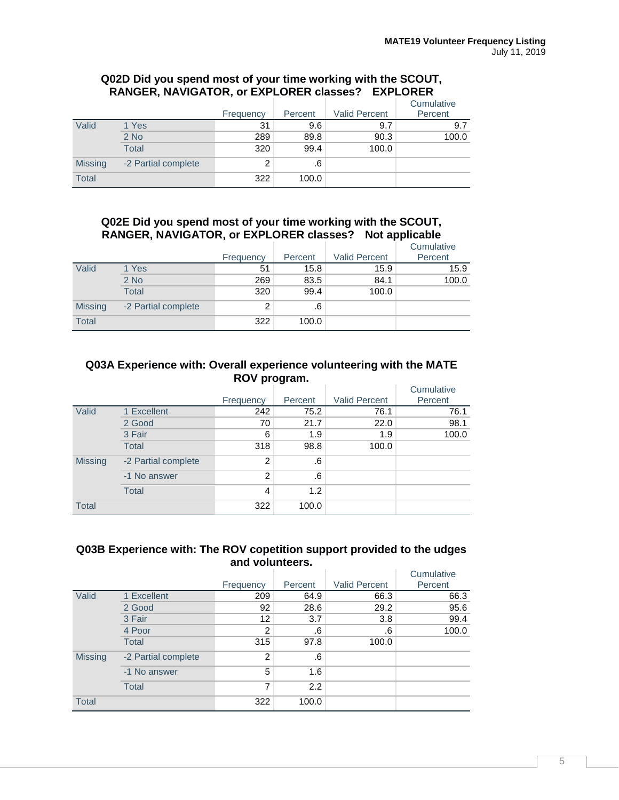#### **Q02D Did you spend most of your time working with the SCOUT, RANGER, NAVIGATOR, or EXPLORER classes? EXPLORER**

|                |                     | Frequency | Percent | <b>Valid Percent</b> | Cumulative<br>Percent |
|----------------|---------------------|-----------|---------|----------------------|-----------------------|
| Valid          | 1 Yes               | 31        | 9.6     | 9.7                  | 9.7                   |
|                | $2$ No              | 289       | 89.8    | 90.3                 | 100.0                 |
|                | <b>Total</b>        | 320       | 99.4    | 100.0                |                       |
| <b>Missing</b> | -2 Partial complete | າ         | .6      |                      |                       |
| <b>Total</b>   |                     | 322       | 100.0   |                      |                       |

## **Q02E Did you spend most of your time working with the SCOUT, RANGER, NAVIGATOR, or EXPLORER classes? Not applicable**

|                |                     |           |         |                      | Cumulative |
|----------------|---------------------|-----------|---------|----------------------|------------|
|                |                     | Frequency | Percent | <b>Valid Percent</b> | Percent    |
| Valid          | 1 Yes               | 51        | 15.8    | 15.9                 | 15.9       |
|                | $2$ No              | 269       | 83.5    | 84.1                 | 100.0      |
|                | <b>Total</b>        | 320       | 99.4    | 100.0                |            |
| <b>Missing</b> | -2 Partial complete | 2         | .6      |                      |            |
| <b>Total</b>   |                     | 322       | 100.0   |                      |            |

#### **Q03A Experience with: Overall experience volunteering with the MATE ROV program.**

|                |                     | Frequency      | Percent | <b>Valid Percent</b> | Cumulative<br>Percent |
|----------------|---------------------|----------------|---------|----------------------|-----------------------|
| Valid          | 1 Excellent         | 242            | 75.2    | 76.1                 | 76.1                  |
|                | 2 Good              | 70             | 21.7    | 22.0                 | 98.1                  |
|                | 3 Fair              | 6              | 1.9     | 1.9                  | 100.0                 |
|                | <b>Total</b>        | 318            | 98.8    | 100.0                |                       |
| <b>Missing</b> | -2 Partial complete | $\overline{2}$ | .6      |                      |                       |
|                | -1 No answer        | $\overline{2}$ | .6      |                      |                       |
|                | <b>Total</b>        | 4              | 1.2     |                      |                       |
| <b>Total</b>   |                     | 322            | 100.0   |                      |                       |

#### **Q03B Experience with: The ROV copetition support provided to the udges and volunteers.**

|                |                     | Frequency      | Percent | <b>Valid Percent</b> | Cumulative<br>Percent |
|----------------|---------------------|----------------|---------|----------------------|-----------------------|
| Valid          | 1 Excellent         | 209            | 64.9    | 66.3                 | 66.3                  |
|                | 2 Good              | 92             | 28.6    | 29.2                 | 95.6                  |
|                | 3 Fair              | 12             | 3.7     | 3.8                  | 99.4                  |
|                | 4 Poor              | 2              | .6      | .6                   | 100.0                 |
|                | <b>Total</b>        | 315            | 97.8    | 100.0                |                       |
| <b>Missing</b> | -2 Partial complete | $\overline{2}$ | .6      |                      |                       |
|                | -1 No answer        | 5              | 1.6     |                      |                       |
|                | <b>Total</b>        | 7              | 2.2     |                      |                       |
| <b>Total</b>   |                     | 322            | 100.0   |                      |                       |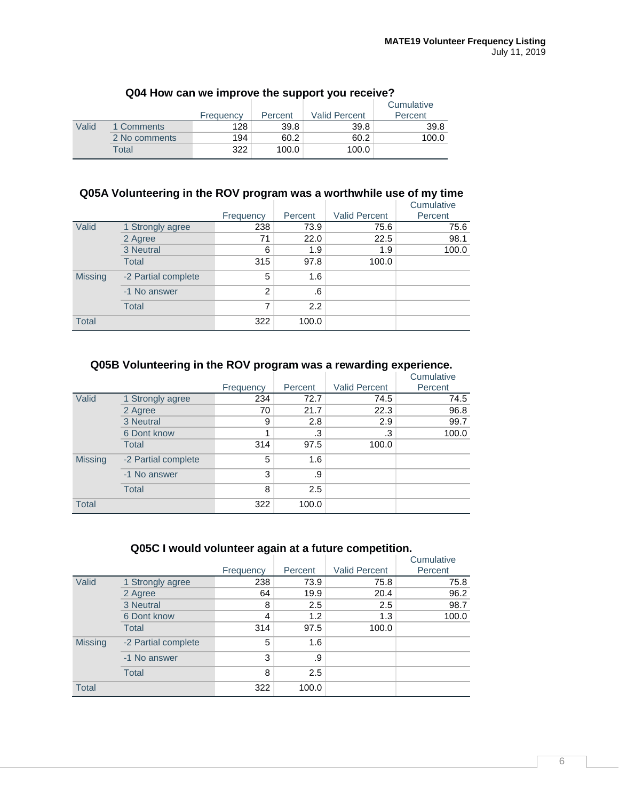|       |               | Frequency | Percent | <b>Valid Percent</b> | Cumulative<br>Percent |
|-------|---------------|-----------|---------|----------------------|-----------------------|
| Valid | 1 Comments    | 128       | 39.8    | 39.8                 | 39.8                  |
|       | 2 No comments | 194       | 60.2    | 60.2                 | 100.0                 |
|       | Total         | 322       | 100.0   | 100.0                |                       |

## **Q04 How can we improve the support you receive?**

## **Q05A Volunteering in the ROV program was a worthwhile use of my time**

|                |                     |                |         |                      | Cumulative |
|----------------|---------------------|----------------|---------|----------------------|------------|
|                |                     | Frequency      | Percent | <b>Valid Percent</b> | Percent    |
| Valid          | 1 Strongly agree    | 238            | 73.9    | 75.6                 | 75.6       |
|                | 2 Agree             | 71             | 22.0    | 22.5                 | 98.1       |
|                | 3 Neutral           | 6              | 1.9     | 1.9                  | 100.0      |
|                | <b>Total</b>        | 315            | 97.8    | 100.0                |            |
| <b>Missing</b> | -2 Partial complete | 5              | 1.6     |                      |            |
|                | -1 No answer        | $\overline{2}$ | .6      |                      |            |
|                | <b>Total</b>        | 7              | 2.2     |                      |            |
| <b>Total</b>   |                     | 322            | 100.0   |                      |            |

#### **Q05B Volunteering in the ROV program was a rewarding experience.**

|                |                     | Frequency | Percent | <b>Valid Percent</b> | Cumulative<br>Percent |
|----------------|---------------------|-----------|---------|----------------------|-----------------------|
|                |                     |           |         |                      |                       |
| Valid          | 1 Strongly agree    | 234       | 72.7    | 74.5                 | 74.5                  |
|                | 2 Agree             | 70        | 21.7    | 22.3                 | 96.8                  |
|                | 3 Neutral           | 9         | 2.8     | 2.9                  | 99.7                  |
|                | 6 Dont know         |           | .3      | .3                   | 100.0                 |
|                | <b>Total</b>        | 314       | 97.5    | 100.0                |                       |
| <b>Missing</b> | -2 Partial complete | 5         | 1.6     |                      |                       |
|                | -1 No answer        | 3         | .9      |                      |                       |
|                | Total               | 8         | 2.5     |                      |                       |
| <b>Total</b>   |                     | 322       | 100.0   |                      |                       |

### **Q05C I would volunteer again at a future competition.**

|                |                     |           |         |                      | Cumulative |
|----------------|---------------------|-----------|---------|----------------------|------------|
|                |                     | Frequency | Percent | <b>Valid Percent</b> | Percent    |
| Valid          | 1 Strongly agree    | 238       | 73.9    | 75.8                 | 75.8       |
|                | 2 Agree             | 64        | 19.9    | 20.4                 | 96.2       |
|                | 3 Neutral           | 8         | 2.5     | 2.5                  | 98.7       |
|                | 6 Dont know         | 4         | 1.2     | 1.3                  | 100.0      |
|                | Total               | 314       | 97.5    | 100.0                |            |
| <b>Missing</b> | -2 Partial complete | 5         | 1.6     |                      |            |
|                | -1 No answer        | 3         | .9      |                      |            |
|                | <b>Total</b>        | 8         | 2.5     |                      |            |
| <b>Total</b>   |                     | 322       | 100.0   |                      |            |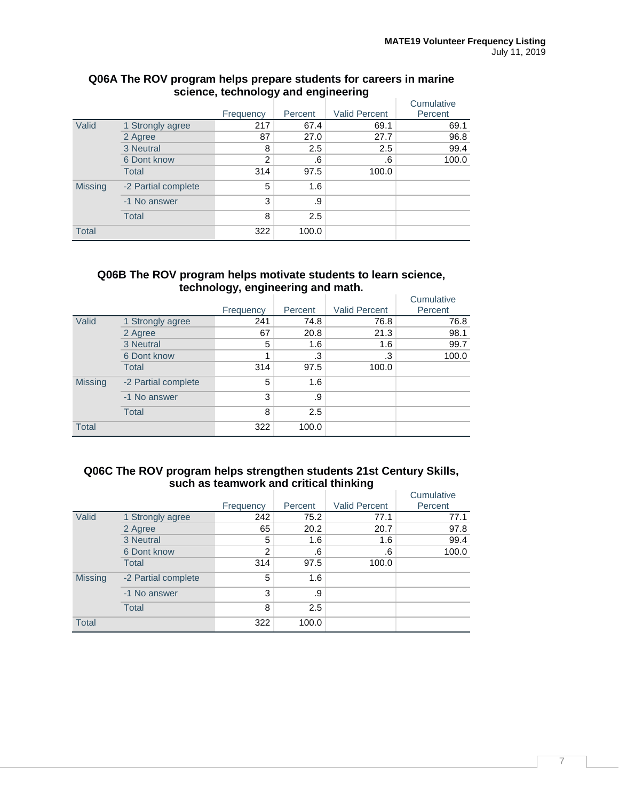|                |                     |           |         |                      | Cumulative |
|----------------|---------------------|-----------|---------|----------------------|------------|
|                |                     | Frequency | Percent | <b>Valid Percent</b> | Percent    |
| Valid          | 1 Strongly agree    | 217       | 67.4    | 69.1                 | 69.1       |
|                | 2 Agree             | 87        | 27.0    | 27.7                 | 96.8       |
|                | 3 Neutral           | 8         | 2.5     | 2.5                  | 99.4       |
|                | 6 Dont know         | 2         | .6      | .6                   | 100.0      |
|                | <b>Total</b>        | 314       | 97.5    | 100.0                |            |
| <b>Missing</b> | -2 Partial complete | 5         | 1.6     |                      |            |
|                | -1 No answer        | 3         | .9      |                      |            |
|                | <b>Total</b>        | 8         | 2.5     |                      |            |
| <b>Total</b>   |                     | 322       | 100.0   |                      |            |

#### **Q06A The ROV program helps prepare students for careers in marine science, technology and engineering**

#### **Q06B The ROV program helps motivate students to learn science, technology, engineering and math.**

|                |                     |           |         |                      | Cumulative |
|----------------|---------------------|-----------|---------|----------------------|------------|
|                |                     | Frequency | Percent | <b>Valid Percent</b> | Percent    |
| Valid          | 1 Strongly agree    | 241       | 74.8    | 76.8                 | 76.8       |
|                | 2 Agree             | 67        | 20.8    | 21.3                 | 98.1       |
|                | 3 Neutral           | 5         | 1.6     | 1.6                  | 99.7       |
|                | 6 Dont know         |           | .3      | .3                   | 100.0      |
|                | Total               | 314       | 97.5    | 100.0                |            |
| <b>Missing</b> | -2 Partial complete | 5         | 1.6     |                      |            |
|                | -1 No answer        | 3         | .9      |                      |            |
|                | <b>Total</b>        | 8         | 2.5     |                      |            |
| <b>Total</b>   |                     | 322       | 100.0   |                      |            |

#### **Q06C The ROV program helps strengthen students 21st Century Skills, such as teamwork and critical thinking**

|                |                     |                |         |                      | Cumulative |
|----------------|---------------------|----------------|---------|----------------------|------------|
|                |                     | Frequency      | Percent | <b>Valid Percent</b> | Percent    |
| Valid          | 1 Strongly agree    | 242            | 75.2    | 77.1                 | 77.1       |
|                | 2 Agree             | 65             | 20.2    | 20.7                 | 97.8       |
|                | 3 Neutral           | 5              | 1.6     | 1.6                  | 99.4       |
|                | 6 Dont know         | $\overline{2}$ | .6      | .6                   | 100.0      |
|                | <b>Total</b>        | 314            | 97.5    | 100.0                |            |
| <b>Missing</b> | -2 Partial complete | 5              | 1.6     |                      |            |
|                | -1 No answer        | 3              | .9      |                      |            |
|                | <b>Total</b>        | 8              | 2.5     |                      |            |
| <b>Total</b>   |                     | 322            | 100.0   |                      |            |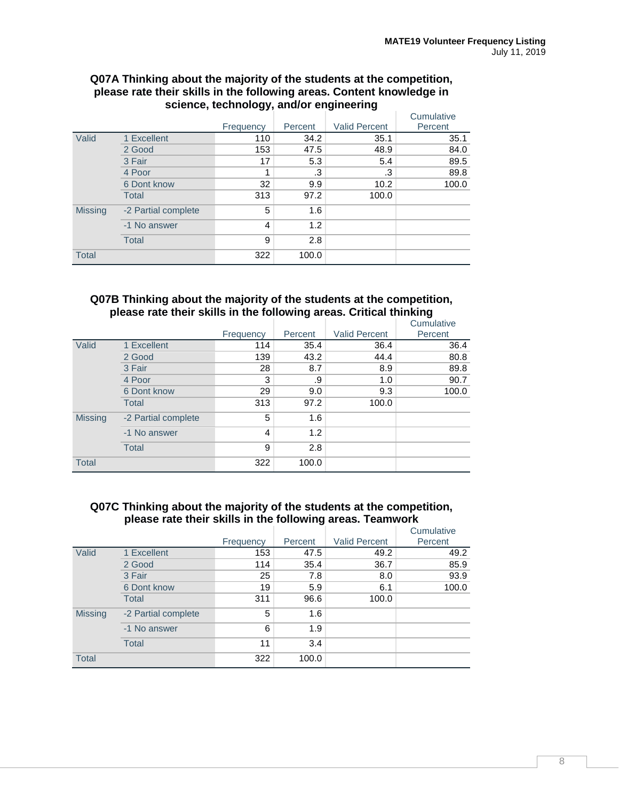#### **Q07A Thinking about the majority of the students at the competition, please rate their skills in the following areas. Content knowledge in science, technology, and/or engineering**

|                |                     |           |         |                      | Cumulative |
|----------------|---------------------|-----------|---------|----------------------|------------|
|                |                     | Frequency | Percent | <b>Valid Percent</b> | Percent    |
| Valid          | 1 Excellent         | 110       | 34.2    | 35.1                 | 35.1       |
|                | 2 Good              | 153       | 47.5    | 48.9                 | 84.0       |
|                | 3 Fair              | 17        | 5.3     | 5.4                  | 89.5       |
|                | 4 Poor              |           | .3      | .3                   | 89.8       |
|                | 6 Dont know         | 32        | 9.9     | 10.2                 | 100.0      |
|                | <b>Total</b>        | 313       | 97.2    | 100.0                |            |
| <b>Missing</b> | -2 Partial complete | 5         | 1.6     |                      |            |
|                | -1 No answer        | 4         | 1.2     |                      |            |
|                | Total               | 9         | 2.8     |                      |            |
| <b>Total</b>   |                     | 322       | 100.0   |                      |            |

#### **Q07B Thinking about the majority of the students at the competition, please rate their skills in the following areas. Critical thinking**

|                |                     |           |         |                      | Cumulative |
|----------------|---------------------|-----------|---------|----------------------|------------|
|                |                     | Frequency | Percent | <b>Valid Percent</b> | Percent    |
| Valid          | 1 Excellent         | 114       | 35.4    | 36.4                 | 36.4       |
|                | 2 Good              | 139       | 43.2    | 44.4                 | 80.8       |
|                | 3 Fair              | 28        | 8.7     | 8.9                  | 89.8       |
|                | 4 Poor              | 3         | .9      | 1.0                  | 90.7       |
|                | 6 Dont know         | 29        | 9.0     | 9.3                  | 100.0      |
|                | <b>Total</b>        | 313       | 97.2    | 100.0                |            |
| <b>Missing</b> | -2 Partial complete | 5         | 1.6     |                      |            |
|                | -1 No answer        | 4         | 1.2     |                      |            |
|                | <b>Total</b>        | 9         | 2.8     |                      |            |
| <b>Total</b>   |                     | 322       | 100.0   |                      |            |

#### **Q07C Thinking about the majority of the students at the competition, please rate their skills in the following areas. Teamwork**

|                |                     |           |         |                      | Cumulative |
|----------------|---------------------|-----------|---------|----------------------|------------|
|                |                     | Frequency | Percent | <b>Valid Percent</b> | Percent    |
| Valid          | 1 Excellent         | 153       | 47.5    | 49.2                 | 49.2       |
|                | 2 Good              | 114       | 35.4    | 36.7                 | 85.9       |
|                | 3 Fair              | 25        | 7.8     | 8.0                  | 93.9       |
|                | 6 Dont know         | 19        | 5.9     | 6.1                  | 100.0      |
|                | <b>Total</b>        | 311       | 96.6    | 100.0                |            |
| <b>Missing</b> | -2 Partial complete | 5         | 1.6     |                      |            |
|                | -1 No answer        | 6         | 1.9     |                      |            |
|                | <b>Total</b>        | 11        | 3.4     |                      |            |
| <b>Total</b>   |                     | 322       | 100.0   |                      |            |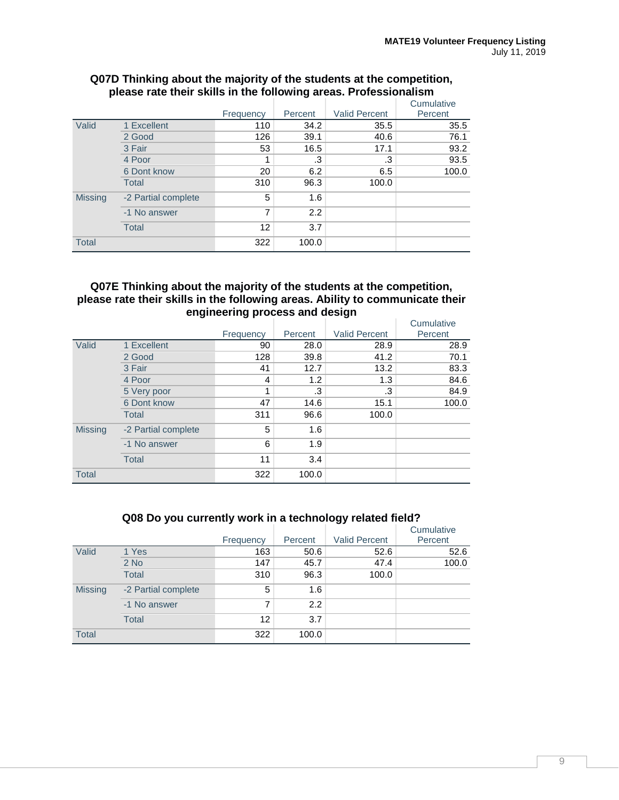|                |                     | Frequency      | Percent | <b>Valid Percent</b> | Cumulative<br>Percent |
|----------------|---------------------|----------------|---------|----------------------|-----------------------|
|                |                     |                |         |                      |                       |
| Valid          | 1 Excellent         | 110            | 34.2    | 35.5                 | 35.5                  |
|                | 2 Good              | 126            | 39.1    | 40.6                 | 76.1                  |
|                | 3 Fair              | 53             | 16.5    | 17.1                 | 93.2                  |
|                | 4 Poor              |                | .3      | .3                   | 93.5                  |
|                | 6 Dont know         | 20             | 6.2     | 6.5                  | 100.0                 |
|                | <b>Total</b>        | 310            | 96.3    | 100.0                |                       |
| <b>Missing</b> | -2 Partial complete | 5              | 1.6     |                      |                       |
|                | -1 No answer        | $\overline{7}$ | 2.2     |                      |                       |
|                | Total               | 12             | 3.7     |                      |                       |
| <b>Total</b>   |                     | 322            | 100.0   |                      |                       |

#### **Q07D Thinking about the majority of the students at the competition, please rate their skills in the following areas. Professionalism**

#### **Q07E Thinking about the majority of the students at the competition, please rate their skills in the following areas. Ability to communicate their engineering process and design**

|                |                     |           |         |                      | Cumulative |
|----------------|---------------------|-----------|---------|----------------------|------------|
|                |                     | Frequency | Percent | <b>Valid Percent</b> | Percent    |
| Valid          | 1 Excellent         | 90        | 28.0    | 28.9                 | 28.9       |
|                | 2 Good              | 128       | 39.8    | 41.2                 | 70.1       |
|                | 3 Fair              | 41        | 12.7    | 13.2                 | 83.3       |
|                | 4 Poor              | 4         | 1.2     | 1.3                  | 84.6       |
|                | 5 Very poor         | 4         | .3      | .3                   | 84.9       |
|                | 6 Dont know         | 47        | 14.6    | 15.1                 | 100.0      |
|                | <b>Total</b>        | 311       | 96.6    | 100.0                |            |
| <b>Missing</b> | -2 Partial complete | 5         | 1.6     |                      |            |
|                | -1 No answer        | 6         | 1.9     |                      |            |
|                | <b>Total</b>        | 11        | 3.4     |                      |            |
| <b>Total</b>   |                     | 322       | 100.0   |                      |            |

#### **Q08 Do you currently work in a technology related field?**

|                |                     | Frequency | Percent | <b>Valid Percent</b> | Cumulative<br>Percent |
|----------------|---------------------|-----------|---------|----------------------|-----------------------|
| Valid          | 1 Yes               | 163       | 50.6    | 52.6                 | 52.6                  |
|                | $2$ No              | 147       | 45.7    | 47.4                 | 100.0                 |
|                | <b>Total</b>        | 310       | 96.3    | 100.0                |                       |
| <b>Missing</b> | -2 Partial complete | 5         | 1.6     |                      |                       |
|                | -1 No answer        | 7         | 2.2     |                      |                       |
|                | <b>Total</b>        | 12        | 3.7     |                      |                       |
| <b>Total</b>   |                     | 322       | 100.0   |                      |                       |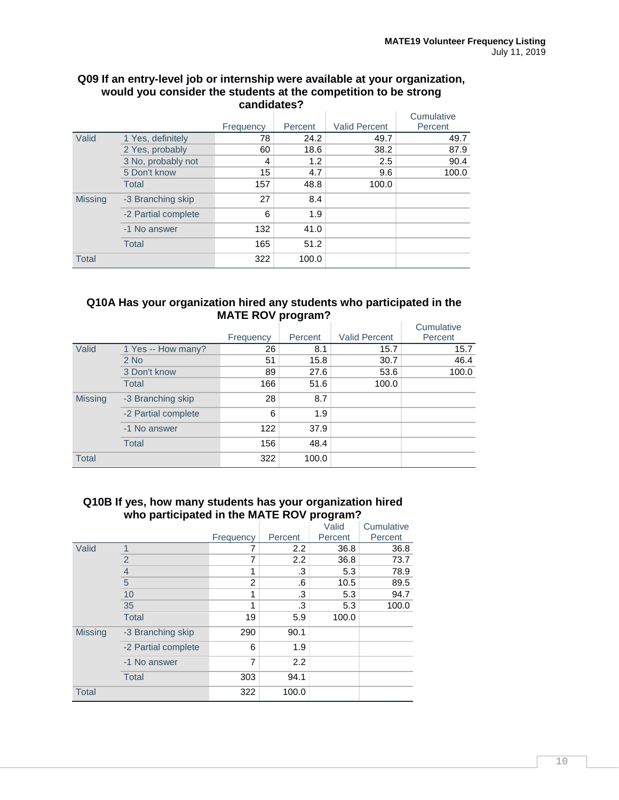#### **Q09 If an entry-level job or internship were available at your organization, would you consider the students at the competition to be strong candidates?**

|                |                     | Frequency | Percent | <b>Valid Percent</b> | Cumulative<br>Percent |
|----------------|---------------------|-----------|---------|----------------------|-----------------------|
| Valid          | 1 Yes, definitely   | 78        | 24.2    | 49.7                 | 49.7                  |
|                | 2 Yes, probably     | 60        | 18.6    | 38.2                 | 87.9                  |
|                | 3 No, probably not  | 4         | 1.2     | 2.5                  | 90.4                  |
|                | 5 Don't know        | 15        | 4.7     | 9.6                  | 100.0                 |
|                | Total               | 157       | 48.8    | 100.0                |                       |
| <b>Missing</b> | -3 Branching skip   | 27        | 8.4     |                      |                       |
|                | -2 Partial complete | 6         | 1.9     |                      |                       |
|                | -1 No answer        | 132       | 41.0    |                      |                       |
|                | <b>Total</b>        | 165       | 51.2    |                      |                       |
| <b>Total</b>   |                     | 322       | 100.0   |                      |                       |

#### **Q10A Has your organization hired any students who participated in the MATE ROV program?**

|                |                     | Frequency | Percent | <b>Valid Percent</b> | Cumulative<br>Percent |
|----------------|---------------------|-----------|---------|----------------------|-----------------------|
| Valid          | 1 Yes -- How many?  | 26        | 8.1     | 15.7                 | 15.7                  |
|                | $2$ No              | 51        | 15.8    | 30.7                 | 46.4                  |
|                | 3 Don't know        | 89        | 27.6    | 53.6                 | 100.0                 |
|                | <b>Total</b>        | 166       | 51.6    | 100.0                |                       |
| <b>Missing</b> | -3 Branching skip   | 28        | 8.7     |                      |                       |
|                | -2 Partial complete | 6         | 1.9     |                      |                       |
|                | -1 No answer        | 122       | 37.9    |                      |                       |
|                | <b>Total</b>        | 156       | 48.4    |                      |                       |
| <b>Total</b>   |                     | 322       | 100.0   |                      |                       |

#### **Q10B If yes, how many students has your organization hired who participated in the MATE ROV program?**

|                |                     |           |         | Valid   | Cumulative |
|----------------|---------------------|-----------|---------|---------|------------|
|                |                     | Frequency | Percent | Percent | Percent    |
| Valid          |                     |           | 2.2     | 36.8    | 36.8       |
|                | $\overline{2}$      | 7         | 2.2     | 36.8    | 73.7       |
|                | $\overline{4}$      | 1         | .3      | 5.3     | 78.9       |
|                | 5                   | 2         | .6      | 10.5    | 89.5       |
|                | 10                  | 1         | .3      | 5.3     | 94.7       |
|                | 35                  |           | .3      | 5.3     | 100.0      |
|                | <b>Total</b>        | 19        | 5.9     | 100.0   |            |
| <b>Missing</b> | -3 Branching skip   | 290       | 90.1    |         |            |
|                | -2 Partial complete | 6         | 1.9     |         |            |
|                | -1 No answer        | 7         | 2.2     |         |            |
|                | <b>Total</b>        | 303       | 94.1    |         |            |
| <b>Total</b>   |                     | 322       | 100.0   |         |            |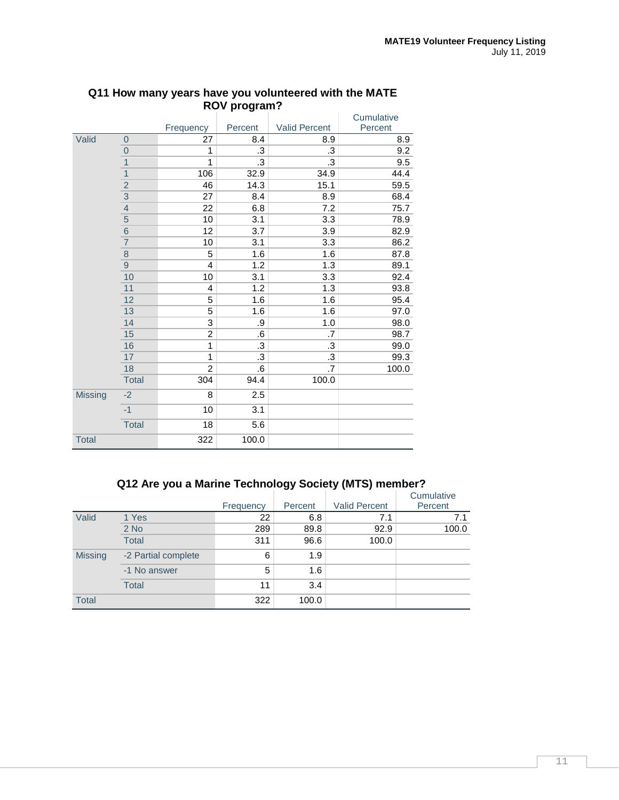|              |                |                |         |               | Cumulative |
|--------------|----------------|----------------|---------|---------------|------------|
|              |                | Frequency      | Percent | Valid Percent | Percent    |
| Valid        | $\mathbf 0$    | 27             | 8.4     | 8.9           | 8.9        |
|              | $\overline{0}$ | 1              | .3      | .3            | 9.2        |
|              | $\overline{1}$ | 1              | .3      | .3            | 9.5        |
|              | $\overline{1}$ | 106            | 32.9    | 34.9          | 44.4       |
|              | $\overline{2}$ | 46             | 14.3    | 15.1          | 59.5       |
|              | $\frac{3}{4}$  | 27             | 8.4     | 8.9           | 68.4       |
|              |                | 22             | 6.8     | 7.2           | 75.7       |
|              | $\overline{5}$ | 10             | 3.1     | 3.3           | 78.9       |
|              | $\overline{6}$ | 12             | 3.7     | 3.9           | 82.9       |
|              | $\overline{7}$ | 10             | 3.1     | 3.3           | 86.2       |
|              | $\bf 8$        | 5              | 1.6     | 1.6           | 87.8       |
|              | $\mathsf 9$    | 4              | 1.2     | 1.3           | 89.1       |
|              | 10             | 10             | 3.1     | 3.3           | 92.4       |
|              | 11             | 4              | 1.2     | 1.3           | 93.8       |
|              | 12             | 5              | 1.6     | 1.6           | 95.4       |
|              | 13             | 5              | 1.6     | 1.6           | 97.0       |
|              | 14             | 3              | .9      | 1.0           | 98.0       |
|              | 15             | 2              | .6      | .7            | 98.7       |
|              | 16             | 1              | .3      | .3            | 99.0       |
|              | 17             | 1              | .3      | .3            | 99.3       |
|              | 18             | $\overline{2}$ | .6      | .7            | 100.0      |
|              | <b>Total</b>   | 304            | 94.4    | 100.0         |            |
| Missing      | $-2$           | 8              | 2.5     |               |            |
|              | $-1$           | 10             | 3.1     |               |            |
|              | <b>Total</b>   | 18             | 5.6     |               |            |
| <b>Total</b> |                | 322            | 100.0   |               |            |

#### **Q11 How many years have you volunteered with the MATE ROV program?**

# **Q12 Are you a Marine Technology Society (MTS) member?**

|                |                     |           |         |                      | Cumulative |
|----------------|---------------------|-----------|---------|----------------------|------------|
|                |                     | Frequency | Percent | <b>Valid Percent</b> | Percent    |
| Valid          | 1 Yes               | 22        | 6.8     | 7.1                  | 7.1        |
|                | $2$ No              | 289       | 89.8    | 92.9                 | 100.0      |
|                | <b>Total</b>        | 311       | 96.6    | 100.0                |            |
| <b>Missing</b> | -2 Partial complete | 6         | 1.9     |                      |            |
|                | -1 No answer        | 5         | 1.6     |                      |            |
|                | <b>Total</b>        | 11        | 3.4     |                      |            |
| <b>Total</b>   |                     | 322       | 100.0   |                      |            |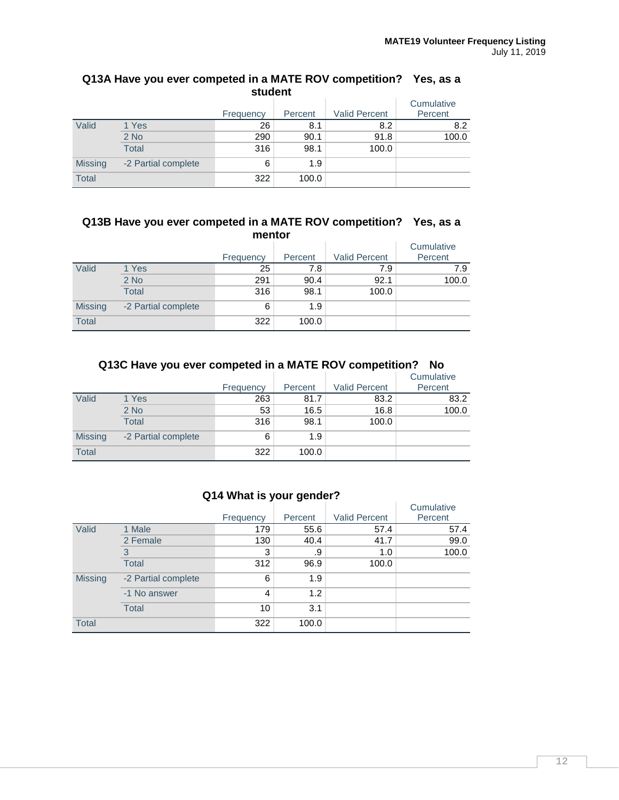|                | student             |           |         |                      |                       |  |  |  |  |
|----------------|---------------------|-----------|---------|----------------------|-----------------------|--|--|--|--|
|                |                     | Frequency | Percent | <b>Valid Percent</b> | Cumulative<br>Percent |  |  |  |  |
| Valid          | 1 Yes               | 26        | 8.1     | 8.2                  | 8.2                   |  |  |  |  |
|                | $2$ No              | 290       | 90.1    | 91.8                 | 100.0                 |  |  |  |  |
|                | <b>Total</b>        | 316       | 98.1    | 100.0                |                       |  |  |  |  |
| <b>Missing</b> | -2 Partial complete | 6         | 1.9     |                      |                       |  |  |  |  |
| <b>Total</b>   |                     | 322       | 100.0   |                      |                       |  |  |  |  |

# **Q13A Have you ever competed in a MATE ROV competition? Yes, as a**

#### **Q13B Have you ever competed in a MATE ROV competition? Yes, as a mentor**

|                |                     | Frequency | Percent | <b>Valid Percent</b> | Cumulative<br>Percent |
|----------------|---------------------|-----------|---------|----------------------|-----------------------|
| Valid          | 1 Yes               | 25        | 7.8     | 7.9                  | 7.9                   |
|                | $2$ No              | 291       | 90.4    | 92.1                 | 100.0                 |
|                | <b>Total</b>        | 316       | 98.1    | 100.0                |                       |
| <b>Missing</b> | -2 Partial complete | 6         | 1.9     |                      |                       |
| <b>Total</b>   |                     | 322       | 100.0   |                      |                       |

# **Q13C Have you ever competed in a MATE ROV competition? No**

|                |                     | Frequency | Percent | <b>Valid Percent</b> | Cumulative<br>Percent |
|----------------|---------------------|-----------|---------|----------------------|-----------------------|
| Valid          | 1 Yes               | 263       | 81.7    | 83.2                 | 83.2                  |
|                | $2$ No              | 53        | 16.5    | 16.8                 | 100.0                 |
|                | Total               | 316       | 98.1    | 100.0                |                       |
| <b>Missing</b> | -2 Partial complete | 6         | 1.9     |                      |                       |
| <b>Total</b>   |                     | 322       | 100.0   |                      |                       |

# **Q14 What is your gender?**

|                |                     | Frequency | Percent | <b>Valid Percent</b> | Cumulative<br>Percent |
|----------------|---------------------|-----------|---------|----------------------|-----------------------|
| Valid          | 1 Male              | 179       | 55.6    | 57.4                 | 57.4                  |
|                | 2 Female            | 130       | 40.4    | 41.7                 | 99.0                  |
|                | 3                   | 3         | .9      | 1.0                  | 100.0                 |
|                | <b>Total</b>        | 312       | 96.9    | 100.0                |                       |
| <b>Missing</b> | -2 Partial complete | 6         | 1.9     |                      |                       |
|                | -1 No answer        | 4         | 1.2     |                      |                       |
|                | <b>Total</b>        | 10        | 3.1     |                      |                       |
| <b>Total</b>   |                     | 322       | 100.0   |                      |                       |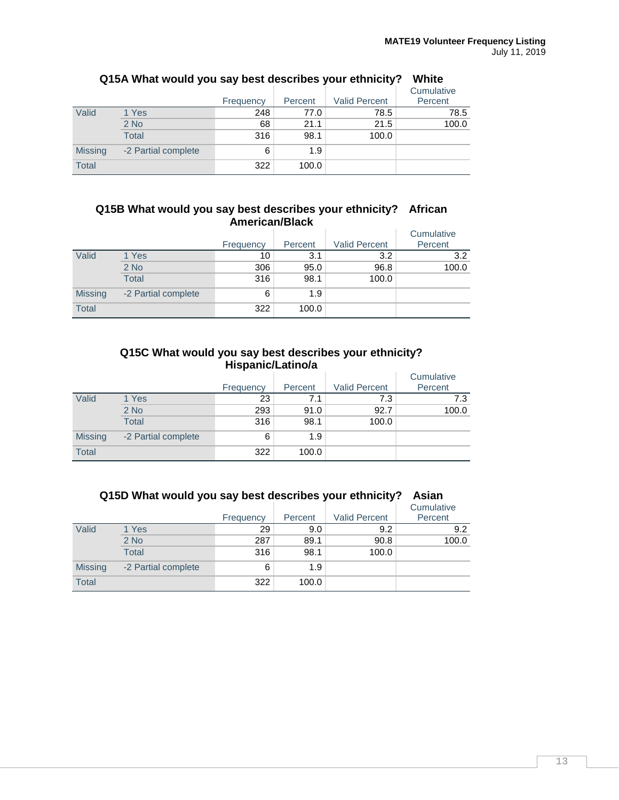|                |                     | Frequency | Percent | <b>Valid Percent</b> | Cumulative<br>Percent |
|----------------|---------------------|-----------|---------|----------------------|-----------------------|
| Valid          | 1 Yes               | 248       | 77.0    | 78.5                 | 78.5                  |
|                | $2$ No              | 68        | 21.1    | 21.5                 | 100.0                 |
|                | <b>Total</b>        | 316       | 98.1    | 100.0                |                       |
| <b>Missing</b> | -2 Partial complete | 6         | 1.9     |                      |                       |
| <b>Total</b>   |                     | 322       | 100.0   |                      |                       |

# **Q15A What would you say best describes your ethnicity? White**

#### **Q15B What would you say best describes your ethnicity? African American/Black**

|                |                     | Frequency | Percent | <b>Valid Percent</b> | Cumulative<br>Percent |
|----------------|---------------------|-----------|---------|----------------------|-----------------------|
| Valid          | 1 Yes               | 10        | 3.1     | 3.2                  | 3.2                   |
|                | $2$ No              | 306       | 95.0    | 96.8                 | 100.0                 |
|                | <b>Total</b>        | 316       | 98.1    | 100.0                |                       |
| <b>Missing</b> | -2 Partial complete | 6         | 1.9     |                      |                       |
| <b>Total</b>   |                     | 322       | 100.0   |                      |                       |

#### **Q15C What would you say best describes your ethnicity? Hispanic/Latino/a**

|                |                     | Frequency | Percent | <b>Valid Percent</b> | Cumulative<br>Percent |
|----------------|---------------------|-----------|---------|----------------------|-----------------------|
| Valid          | 1 Yes               | 23        | 7.1     | 7.3                  | 7.3                   |
|                | $2$ No              | 293       | 91.0    | 92.7                 | 100.0                 |
|                | Total               | 316       | 98.1    | 100.0                |                       |
| <b>Missing</b> | -2 Partial complete | 6         | 1.9     |                      |                       |
| Total          |                     | 322       | 100.0   |                      |                       |

|                |                     | Frequency | Percent | <b>Valid Percent</b> | Cumulative<br>Percent |
|----------------|---------------------|-----------|---------|----------------------|-----------------------|
| Valid          | 1 Yes               | 29        | 9.0     | 9.2                  | 9.2                   |
|                | $2$ No              | 287       | 89.1    | 90.8                 | 100.0                 |
|                | <b>Total</b>        | 316       | 98.1    | 100.0                |                       |
| <b>Missing</b> | -2 Partial complete | 6         | 1.9     |                      |                       |
| <b>Total</b>   |                     | 322       | 100.0   |                      |                       |

## **Q15D What would you say best describes your ethnicity? Asian**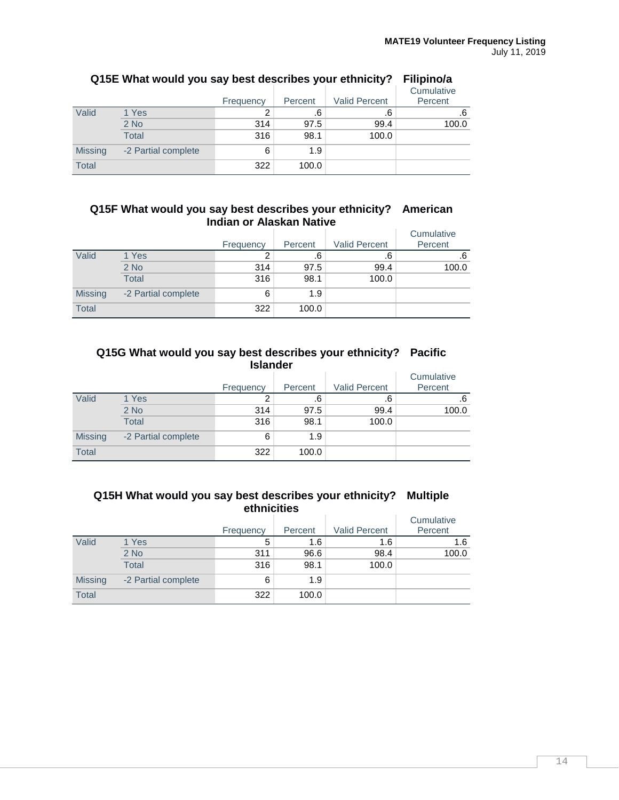|                | -                   | -<br>Frequency | -<br>Percent | <b>Valid Percent</b> | Cumulative<br>Percent |
|----------------|---------------------|----------------|--------------|----------------------|-----------------------|
| Valid          | 1 Yes               |                | .6           | .6                   | .6                    |
|                | $2$ No              | 314            | 97.5         | 99.4                 | 100.0                 |
|                | <b>Total</b>        | 316            | 98.1         | 100.0                |                       |
| <b>Missing</b> | -2 Partial complete | 6              | 1.9          |                      |                       |
| <b>Total</b>   |                     | 322            | 100.0        |                      |                       |

# **Q15E What would you say best describes your ethnicity? Filipino/a**

#### **Q15F What would you say best describes your ethnicity? American Indian or Alaskan Native**

|                |                     | Frequency | Percent | <b>Valid Percent</b> | Cumulative<br>Percent |
|----------------|---------------------|-----------|---------|----------------------|-----------------------|
| Valid          | 1 Yes               |           | .6      | .6                   | .6                    |
|                | $2$ No              | 314       | 97.5    | 99.4                 | 100.0                 |
|                | <b>Total</b>        | 316       | 98.1    | 100.0                |                       |
| <b>Missing</b> | -2 Partial complete | 6         | 1.9     |                      |                       |
| <b>Total</b>   |                     | 322       | 100.0   |                      |                       |

#### **Q15G What would you say best describes your ethnicity? Pacific Islander**

|                |                     | Frequency | Percent | <b>Valid Percent</b> | Cumulative<br>Percent |
|----------------|---------------------|-----------|---------|----------------------|-----------------------|
| Valid          | 1 Yes               |           | .6      | .6                   | .6                    |
|                | $2$ No              | 314       | 97.5    | 99.4                 | 100.0                 |
|                | Total               | 316       | 98.1    | 100.0                |                       |
| <b>Missing</b> | -2 Partial complete | 6         | 1.9     |                      |                       |
| <b>Total</b>   |                     | 322       | 100.0   |                      |                       |

#### **Q15H What would you say best describes your ethnicity? Multiple ethnicities**

|                |                     | Frequency | Percent | <b>Valid Percent</b> | Cumulative<br>Percent |
|----------------|---------------------|-----------|---------|----------------------|-----------------------|
| Valid          | 1 Yes               | 5         | 1.6     | 1.6                  | 1.6                   |
|                | $2$ No              | 311       | 96.6    | 98.4                 | 100.0                 |
|                | <b>Total</b>        | 316       | 98.1    | 100.0                |                       |
| <b>Missing</b> | -2 Partial complete | 6         | 1.9     |                      |                       |
| <b>Total</b>   |                     | 322       | 100.0   |                      |                       |